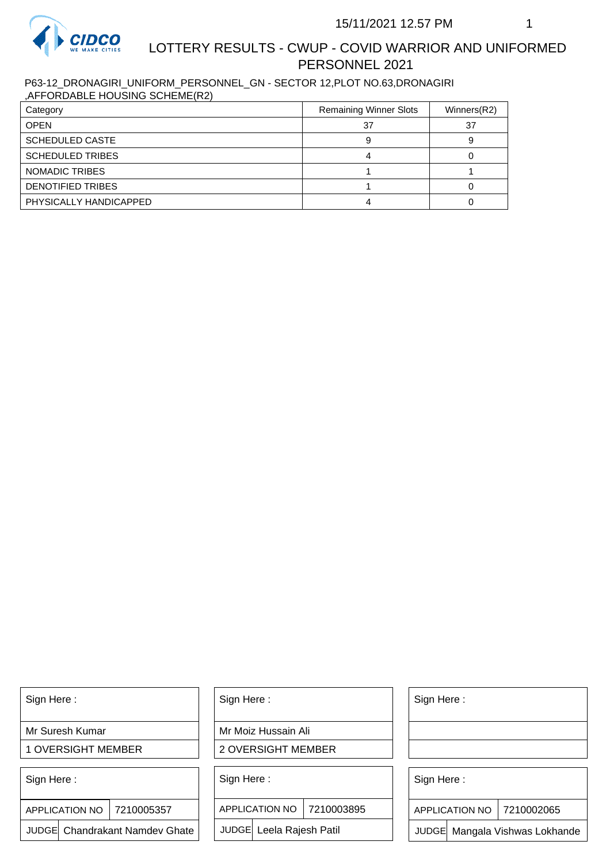

## LOTTERY RESULTS - CWUP - COVID WARRIOR AND UNIFORMED PERSONNEL 2021

P63-12\_DRONAGIRI\_UNIFORM\_PERSONNEL\_GN - SECTOR 12,PLOT NO.63,DRONAGIRI ,AFFORDABLE HOUSING SCHEME(R2)

| Category                | <b>Remaining Winner Slots</b> | Winners(R2) |
|-------------------------|-------------------------------|-------------|
| <b>OPEN</b>             | 37                            | 37          |
| <b>SCHEDULED CASTE</b>  |                               |             |
| <b>SCHEDULED TRIBES</b> |                               |             |
| <b>NOMADIC TRIBES</b>   |                               |             |
| DENOTIFIED TRIBES       |                               |             |
| PHYSICALLY HANDICAPPED  |                               |             |

Sign Here :

Mr Suresh Kumar

1 OVERSIGHT MEMBER

Sign Here :

7210005357 APPLICATION NO

JUDGE Chandrakant Namdev Ghate

Sign Here :

Mr Moiz Hussain Ali

2 OVERSIGHT MEMBER

Sign Here :

APPLICATION NO 7210003895

JUDGE Leela Rajesh Patil

Sign Here :

Sign Here :

APPLICATION NO | 7210002065

Chandrakant Namdev Ghate  $|\quad|$  JUDGE Leela Rajesh Patil  $|\quad|$  JUDGE Mangala Vishwas Lokhande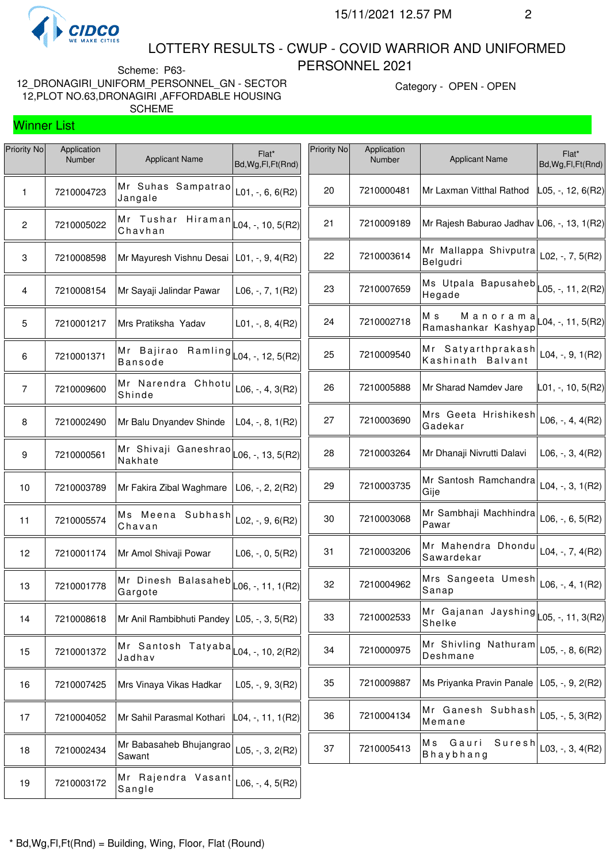

Winner List

#### LOTTERY RESULTS - CWUP - COVID WARRIOR AND UNIFORMED PERSONNEL 2021

Scheme: P63- 12\_DRONAGIRI\_UNIFORM\_PERSONNEL\_GN - SECTOR 12,PLOT NO.63,DRONAGIRI ,AFFORDABLE HOUSING SCHEME

Category - OPEN - OPEN

# Priority No **Application** pplication<br>Number Applicant Name Flat\* Bd,Wg,Fl,Ft(Rnd) Mr Suhas Sampatrao Jangale L01, -, 6, 6(R2) 7210005022 Mr Tushar Hiraman<br>Chavhan 2 | |  $\sim$  10,  $\sim$  10,  $\sim$  10,  $\sim$  10,  $\sim$  10, 5(R2) 7210008598 Mr Mayuresh Vishnu Desai L01, -, 9, 4(R2) 7210008154 Mr Sayaji Jalindar Pawar L06, -, 7, 1(R2) 7210001217 Mrs Pratiksha Yadav L01, -, 8, 4(R2) Mr Bajirao Ramling Bansode L04, -, 12, 5(R2) Mr Narendra Chhotu  $\begin{bmatrix} 7 \end{bmatrix}$  7210009600  $\begin{bmatrix} \text{MIT} \\ \text{O1} \end{bmatrix}$  Narendra Unnotu L06, -, 4, 3(R2) 7210002490 Mr Balu Dnyandev Shinde L04, -, 8, 1(R2) Mr Shivaji Ganeshrao 9 | 7210000561  $\vert$  |  $\vert$  |  $\vert$  |  $\vert$  |  $\vert$  |  $\vert$  |  $\vert$  |  $\vert$  |  $\vert$  |  $\vert$  |  $\vert$  |  $\vert$  |  $\vert$  |  $\vert$  |  $\vert$  |  $\vert$  |  $\vert$  |  $\vert$  |  $\vert$  |  $\vert$  |  $\vert$  |  $\vert$  |  $\vert$  |  $\vert$  |  $\vert$  |  $\vert$  |  $\vert$  |  $\vert$  |  $\vert$  |  $\vert$  7210003789 Mr Fakira Zibal Waghmare L06, -, 2, 2(R2) Ms Meena Subhash 11 | 7210005574  $\vert$  |  $\vert$  |  $\vert$  |  $\vert$  |  $\vert$  |  $\vert$  |  $\vert$  |  $\vert$  |  $\vert$  |  $\vert$  |  $\vert$  |  $\vert$  |  $\vert$  |  $\vert$  |  $\vert$  |  $\vert$  |  $\vert$  |  $\vert$  |  $\vert$  |  $\vert$  |  $\vert$  |  $\vert$  |  $\vert$  |  $\vert$  |  $\vert$  |  $\vert$  |  $\vert$  |  $\vert$  |  $\vert$  |  $\$  7210001174 Mr Amol Shivaji Powar L06, -, 0, 5(R2) Mr Dinesh Balasaheb | 7210001778 |  $\sim$  |  $\sim$  |  $\sim$  |  $\sim$  |  $\sim$  |  $\sim$  |  $\sim$  |  $\sim$  |  $\sim$  |  $\sim$  |  $\sim$  |  $\sim$  |  $\sim$  |  $\sim$  |  $\sim$  |  $\sim$  |  $\sim$  |  $\sim$  |  $\sim$  |  $\sim$  |  $\sim$  |  $\sim$  |  $\sim$  |  $\sim$  |  $\sim$  |  $\sim$  |  $\sim$  |  $\sim$  |  $\sim$  7210008618 Mr Anil Rambibhuti Pandey L05, -, 3, 5(R2) Mr Santosh Tatyaba Jadhav L04, -, 10, 2(R2) 7210007425 Mrs Vinaya Vikas Hadkar L05, -, 9, 3(R2) 17 | 7210004052 | Mr Sahil Parasmal Kothari  $\begin{bmatrix} 1 & 0 & 1 \\ 0 & 4 & -1 & 1 \\ 0 & 0 & 1 & 1 \end{bmatrix}$  Mr Babasaheb Bhujangrao Sawant L05, -, 3, 2(R2)

| Priority No | Application<br>Number | <b>Applicant Name</b>                                | Flat*<br>Bd, Wg, Fl, Ft (Rnd)      |
|-------------|-----------------------|------------------------------------------------------|------------------------------------|
| 20          | 7210000481            | Mr Laxman Vitthal Rathod                             | $\vert$ L05, -, 12, 6(R2)          |
| 21          | 7210009189            | Mr Rajesh Baburao Jadhav L06, -, 13, 1(R2)           |                                    |
| 22          | 7210003614            | Mr Mallappa Shivputra<br>Belgudri                    | $L02, -7, 5(R2)$                   |
| 23          | 7210007659            | Ms Utpala Bapusaheb<br>Hegade                        | L05, -, 11, 2(R2)                  |
| 24          | 7210002718            | Мs<br>Manorama<br>Ramashankar Kashyap                | L04, -, 11, 5(R2)                  |
| 25          | 7210009540            | Satyarthprakash<br>Мr<br>Kashinath<br><b>Balvant</b> | L04, $-$ , $9$ , $1(R2)$           |
| 26          | 7210005888            | Mr Sharad Namdev Jare                                | L01, -, 10, 5(R2)                  |
| 27          | 7210003690            | Mrs Geeta Hrishikesh<br>Gadekar                      | $L06, -, 4, 4(R2)$                 |
| 28          | 7210003264            | Mr Dhanaji Nivrutti Dalavi                           | $L06, -3, 4(R2)$                   |
| 29          | 7210003735            | Mr Santosh Ramchandra<br>Gije                        | $L04, -3, 1(R2)$                   |
| 30          | 7210003068            | Mr Sambhaji Machhindra<br>Pawar                      | L06, $-$ , 6, 5(R2)                |
| 31          | 7210003206            | Mr Mahendra Dhondu<br>Sawardekar                     | L04, $-$ , 7, 4(R2)                |
| 32          | 7210004962            | Mrs Sangeeta<br>Umesh<br>Sanap                       | $L06, -, 4, 1(R2)$                 |
| 33          | 7210002533            | Mr Gajanan<br>Shelke                                 | Jayshing $\vert$ L05, -, 11, 3(R2) |
| 34          | 7210000975            | Mr Shivling<br>Nathuram<br>Deshmane                  | $L05, -, 8, 6(R2)$                 |
| 35          | 7210009887            | Ms Priyanka Pravin Panale                            | $L05, -, 9, 2(R2)$                 |
| 36          | 7210004134            | Mr<br>Ganesh<br>Subhash<br>Memane                    | $L05, -, 5, 3(R2)$                 |
| 37          | 7210005413            | Suresh<br>M s<br>Gauri<br>Bhaybhang                  | $L03, -, 3, 4(R2)$                 |

 Mr Rajendra Vasant  $\begin{bmatrix} 19 & 7210003172 \end{bmatrix}$   $\begin{bmatrix} 0 & 1 & 1 & 2 \ 0 & 0 & 0 & 1 \end{bmatrix}$  E06, -, 4, 5(R2)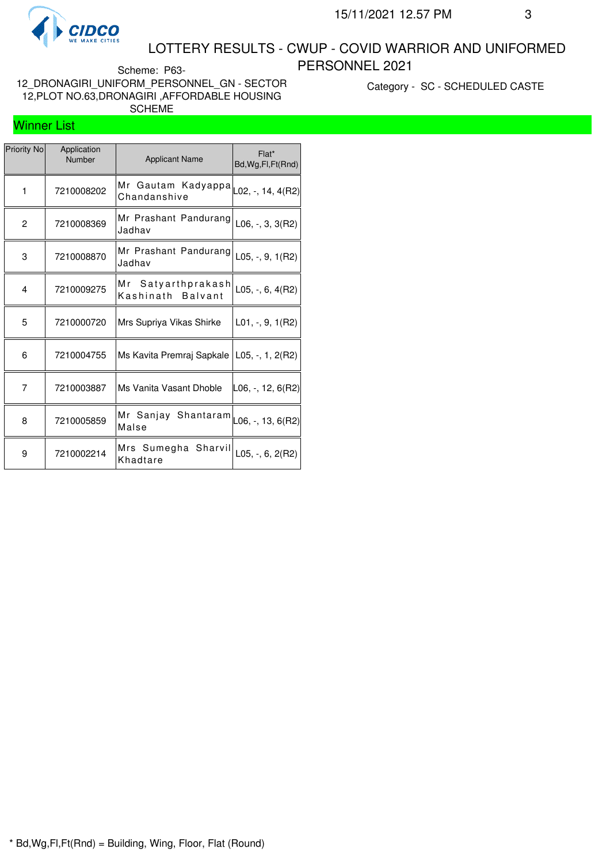

#### LOTTERY RESULTS - CWUP - COVID WARRIOR AND UNIFORMED PERSONNEL 2021

Scheme: P63- 12\_DRONAGIRI\_UNIFORM\_PERSONNEL\_GN - SECTOR 12,PLOT NO.63,DRONAGIRI ,AFFORDABLE HOUSING SCHEME

Category - SC - SCHEDULED CASTE

#### Winner List

| Priority No  | Application<br>Number | <b>Applicant Name</b>                                             | Flat*<br>Bd, Wg, Fl, Ft (Rnd) |
|--------------|-----------------------|-------------------------------------------------------------------|-------------------------------|
| $\mathbf{1}$ | 7210008202            | Mr Gautam Kadyappa $\vert$ $_{L02,}$ -, 14, 4(R2)<br>Chandanshive |                               |
| 2            | 7210008369            | Mr Prashant Pandurang<br>Jadhav                                   | $L06, -3, 3(R2)$              |
| 3            | 7210008870            | Mr Prashant Pandurang<br>Jadhav                                   | L05, $-$ , 9, 1(R2)           |
| 4            | 7210009275            | Mr Satyarthprakash<br>Kashinath Balvant                           | L05, $-$ , 6, 4(R2)           |
| 5            | 7210000720            | Mrs Supriya Vikas Shirke                                          | $L01, -, 9, 1(R2)$            |
| 6            | 7210004755            | Ms Kavita Premraj Sapkale   L05, -, 1, 2(R2)                      |                               |
| 7            | 7210003887            | Ms Vanita Vasant Dhoble                                           | ∣L06, -, 12, 6(R2)∣           |
| 8            | 7210005859            | Mr Sanjay Shantaram $\vert$ L06, -, 13, 6(R2)<br>Malse            |                               |
| 9            | 7210002214            | Mrs Sumegha Sharvil<br>Khadtare                                   | $L05, -, 6, 2(R2)$            |